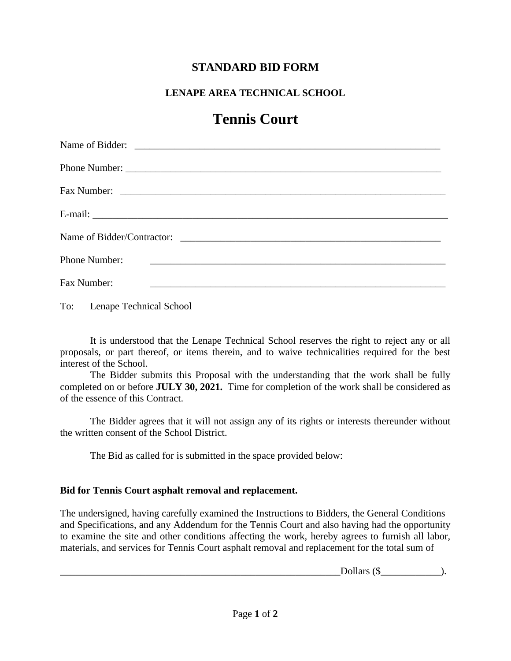## **STANDARD BID FORM**

### **LENAPE AREA TECHNICAL SCHOOL**

# **Tennis Court**

| Phone Number:                                                                                                                       |
|-------------------------------------------------------------------------------------------------------------------------------------|
| Fax Number:<br><u> 1980 - Jan James James James James James James James James James James James James James James James James J</u> |

To: Lenape Technical School

It is understood that the Lenape Technical School reserves the right to reject any or all proposals, or part thereof, or items therein, and to waive technicalities required for the best interest of the School.

The Bidder submits this Proposal with the understanding that the work shall be fully completed on or before **JULY 30, 2021.** Time for completion of the work shall be considered as of the essence of this Contract.

The Bidder agrees that it will not assign any of its rights or interests thereunder without the written consent of the School District.

The Bid as called for is submitted in the space provided below:

#### **Bid for Tennis Court asphalt removal and replacement.**

The undersigned, having carefully examined the Instructions to Bidders, the General Conditions and Specifications, and any Addendum for the Tennis Court and also having had the opportunity to examine the site and other conditions affecting the work, hereby agrees to furnish all labor, materials, and services for Tennis Court asphalt removal and replacement for the total sum of

Dollars  $(\$\)$ .